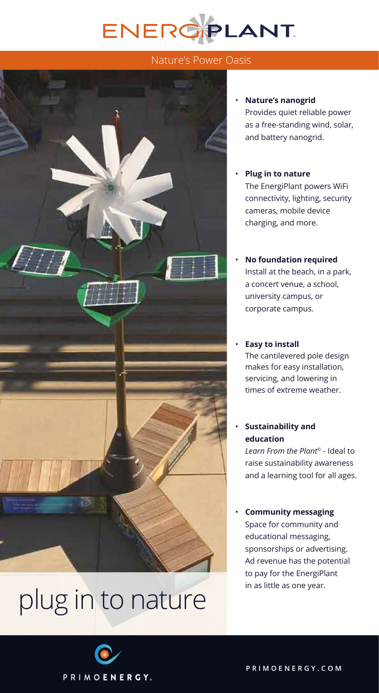# ENERGPLANT

## Nature's Power Oasis



# plug in to nature

#### • **Nature's nanogrid**

Provides quiet reliable power as a free-standing wind, solar, and battery nanogrid.

- **Plug in to nature** The EnergiPlant powers WiFi connectivity, lighting, security cameras, mobile device charging, and more.
- **No foundation required** Install at the beach, in a park, a concert venue, a school, university campus, or corporate campus.

#### • **Easy to install**

The cantilevered pole design makes for easy installation, servicing, and lowering in times of extreme weather.

### • **Sustainability and education**

*Learn From the Plant©* - Ideal to raise sustainability awareness and a learning tool for all ages.

### • **Community messaging**

 Space for community and educational messaging, sponsorships or advertising. Ad revenue has the potential to pay for the EnergiPlant in as little as one year.